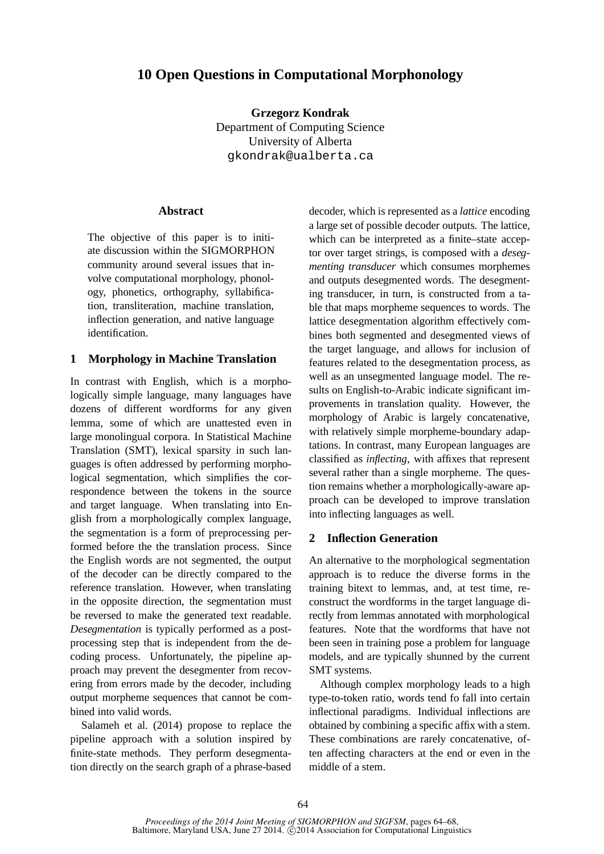# **10 Open Questions in Computational Morphonology**

**Grzegorz Kondrak** Department of Computing Science University of Alberta gkondrak@ualberta.ca

#### **Abstract**

The objective of this paper is to initiate discussion within the SIGMORPHON community around several issues that involve computational morphology, phonology, phonetics, orthography, syllabification, transliteration, machine translation, inflection generation, and native language identification.

#### **1 Morphology in Machine Translation**

In contrast with English, which is a morphologically simple language, many languages have dozens of different wordforms for any given lemma, some of which are unattested even in large monolingual corpora. In Statistical Machine Translation (SMT), lexical sparsity in such languages is often addressed by performing morphological segmentation, which simplifies the correspondence between the tokens in the source and target language. When translating into English from a morphologically complex language, the segmentation is a form of preprocessing performed before the the translation process. Since the English words are not segmented, the output of the decoder can be directly compared to the reference translation. However, when translating in the opposite direction, the segmentation must be reversed to make the generated text readable. *Desegmentation* is typically performed as a postprocessing step that is independent from the decoding process. Unfortunately, the pipeline approach may prevent the desegmenter from recovering from errors made by the decoder, including output morpheme sequences that cannot be combined into valid words.

Salameh et al. (2014) propose to replace the pipeline approach with a solution inspired by finite-state methods. They perform desegmentation directly on the search graph of a phrase-based decoder, which is represented as a *lattice* encoding a large set of possible decoder outputs. The lattice, which can be interpreted as a finite–state acceptor over target strings, is composed with a *desegmenting transducer* which consumes morphemes and outputs desegmented words. The desegmenting transducer, in turn, is constructed from a table that maps morpheme sequences to words. The lattice desegmentation algorithm effectively combines both segmented and desegmented views of the target language, and allows for inclusion of features related to the desegmentation process, as well as an unsegmented language model. The results on English-to-Arabic indicate significant improvements in translation quality. However, the morphology of Arabic is largely concatenative, with relatively simple morpheme-boundary adaptations. In contrast, many European languages are classified as *inflecting*, with affixes that represent several rather than a single morpheme. The question remains whether a morphologically-aware approach can be developed to improve translation into inflecting languages as well.

#### **2 Inflection Generation**

An alternative to the morphological segmentation approach is to reduce the diverse forms in the training bitext to lemmas, and, at test time, reconstruct the wordforms in the target language directly from lemmas annotated with morphological features. Note that the wordforms that have not been seen in training pose a problem for language models, and are typically shunned by the current SMT systems.

Although complex morphology leads to a high type-to-token ratio, words tend fo fall into certain inflectional paradigms. Individual inflections are obtained by combining a specific affix with a stem. These combinations are rarely concatenative, often affecting characters at the end or even in the middle of a stem.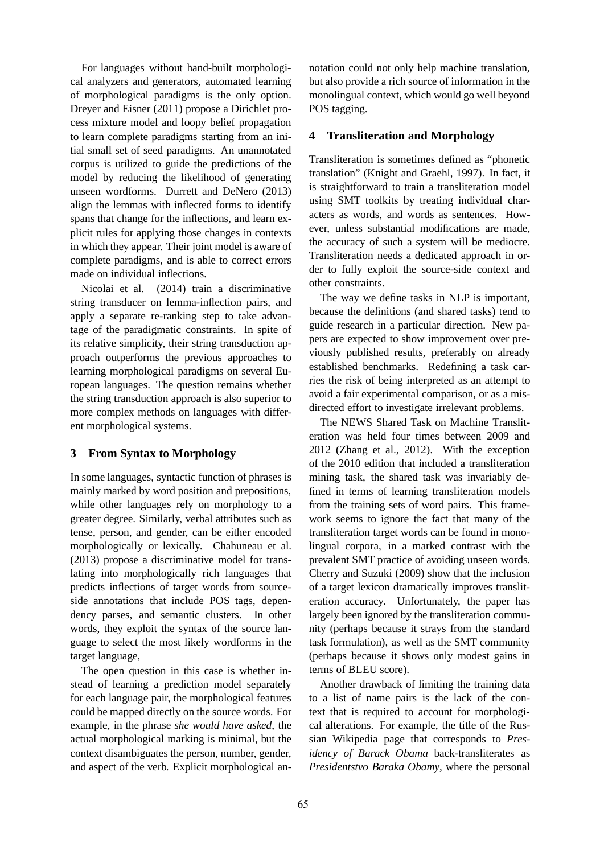For languages without hand-built morphological analyzers and generators, automated learning of morphological paradigms is the only option. Dreyer and Eisner (2011) propose a Dirichlet process mixture model and loopy belief propagation to learn complete paradigms starting from an initial small set of seed paradigms. An unannotated corpus is utilized to guide the predictions of the model by reducing the likelihood of generating unseen wordforms. Durrett and DeNero (2013) align the lemmas with inflected forms to identify spans that change for the inflections, and learn explicit rules for applying those changes in contexts in which they appear. Their joint model is aware of complete paradigms, and is able to correct errors made on individual inflections.

Nicolai et al. (2014) train a discriminative string transducer on lemma-inflection pairs, and apply a separate re-ranking step to take advantage of the paradigmatic constraints. In spite of its relative simplicity, their string transduction approach outperforms the previous approaches to learning morphological paradigms on several European languages. The question remains whether the string transduction approach is also superior to more complex methods on languages with different morphological systems.

#### **3 From Syntax to Morphology**

In some languages, syntactic function of phrases is mainly marked by word position and prepositions, while other languages rely on morphology to a greater degree. Similarly, verbal attributes such as tense, person, and gender, can be either encoded morphologically or lexically. Chahuneau et al. (2013) propose a discriminative model for translating into morphologically rich languages that predicts inflections of target words from sourceside annotations that include POS tags, dependency parses, and semantic clusters. In other words, they exploit the syntax of the source language to select the most likely wordforms in the target language,

The open question in this case is whether instead of learning a prediction model separately for each language pair, the morphological features could be mapped directly on the source words. For example, in the phrase *she would have asked*, the actual morphological marking is minimal, but the context disambiguates the person, number, gender, and aspect of the verb. Explicit morphological annotation could not only help machine translation, but also provide a rich source of information in the monolingual context, which would go well beyond POS tagging.

#### **4 Transliteration and Morphology**

Transliteration is sometimes defined as "phonetic translation" (Knight and Graehl, 1997). In fact, it is straightforward to train a transliteration model using SMT toolkits by treating individual characters as words, and words as sentences. However, unless substantial modifications are made, the accuracy of such a system will be mediocre. Transliteration needs a dedicated approach in order to fully exploit the source-side context and other constraints.

The way we define tasks in NLP is important, because the definitions (and shared tasks) tend to guide research in a particular direction. New papers are expected to show improvement over previously published results, preferably on already established benchmarks. Redefining a task carries the risk of being interpreted as an attempt to avoid a fair experimental comparison, or as a misdirected effort to investigate irrelevant problems.

The NEWS Shared Task on Machine Transliteration was held four times between 2009 and 2012 (Zhang et al., 2012). With the exception of the 2010 edition that included a transliteration mining task, the shared task was invariably defined in terms of learning transliteration models from the training sets of word pairs. This framework seems to ignore the fact that many of the transliteration target words can be found in monolingual corpora, in a marked contrast with the prevalent SMT practice of avoiding unseen words. Cherry and Suzuki (2009) show that the inclusion of a target lexicon dramatically improves transliteration accuracy. Unfortunately, the paper has largely been ignored by the transliteration community (perhaps because it strays from the standard task formulation), as well as the SMT community (perhaps because it shows only modest gains in terms of BLEU score).

Another drawback of limiting the training data to a list of name pairs is the lack of the context that is required to account for morphological alterations. For example, the title of the Russian Wikipedia page that corresponds to *Presidency of Barack Obama* back-transliterates as *Presidentstvo Baraka Obamy*, where the personal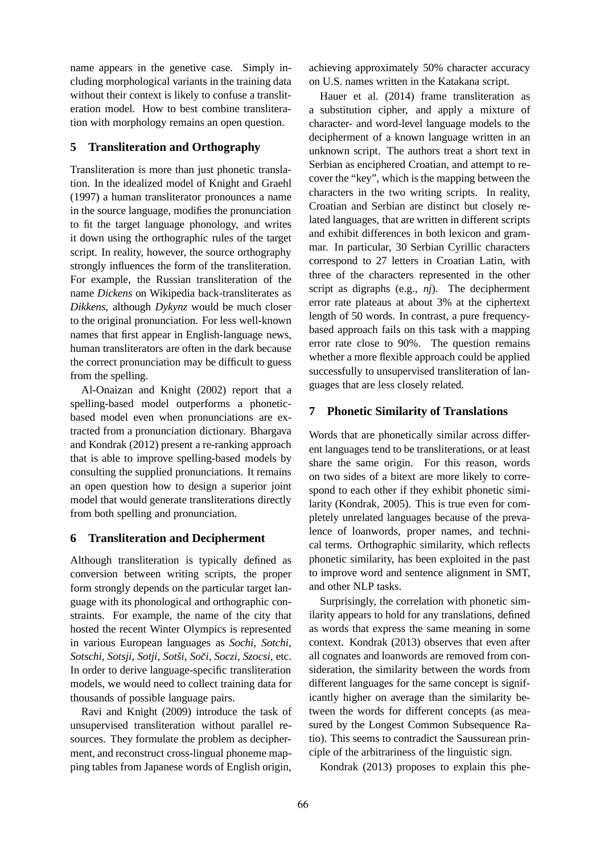name appears in the genetive case. Simply including morphological variants in the training data without their context is likely to confuse a transliteration model. How to best combine transliteration with morphology remains an open question.

#### **5 Transliteration and Orthography**

Transliteration is more than just phonetic translation. In the idealized model of Knight and Graehl (1997) a human transliterator pronounces a name in the source language, modifies the pronunciation to fit the target language phonology, and writes it down using the orthographic rules of the target script. In reality, however, the source orthography strongly influences the form of the transliteration. For example, the Russian transliteration of the name *Dickens* on Wikipedia back-transliterates as *Dikkens*, although *Dykynz* would be much closer to the original pronunciation. For less well-known names that first appear in English-language news, human transliterators are often in the dark because the correct pronunciation may be difficult to guess from the spelling.

Al-Onaizan and Knight (2002) report that a spelling-based model outperforms a phoneticbased model even when pronunciations are extracted from a pronunciation dictionary. Bhargava and Kondrak (2012) present a re-ranking approach that is able to improve spelling-based models by consulting the supplied pronunciations. It remains an open question how to design a superior joint model that would generate transliterations directly from both spelling and pronunciation.

#### **6 Transliteration and Decipherment**

Although transliteration is typically defined as conversion between writing scripts, the proper form strongly depends on the particular target language with its phonological and orthographic constraints. For example, the name of the city that hosted the recent Winter Olympics is represented in various European languages as *Sochi*, *Sotchi*, *Sotschi*, *Sotsji*, *Sotji*, *Sotˇsi*, *Sociˇ* , *Soczi*, *Szocsi*, etc. In order to derive language-specific transliteration models, we would need to collect training data for thousands of possible language pairs.

Ravi and Knight (2009) introduce the task of unsupervised transliteration without parallel resources. They formulate the problem as decipherment, and reconstruct cross-lingual phoneme mapping tables from Japanese words of English origin, achieving approximately 50% character accuracy on U.S. names written in the Katakana script.

Hauer et al. (2014) frame transliteration as a substitution cipher, and apply a mixture of character- and word-level language models to the decipherment of a known language written in an unknown script. The authors treat a short text in Serbian as enciphered Croatian, and attempt to recover the "key", which is the mapping between the characters in the two writing scripts. In reality, Croatian and Serbian are distinct but closely related languages, that are written in different scripts and exhibit differences in both lexicon and grammar. In particular, 30 Serbian Cyrillic characters correspond to 27 letters in Croatian Latin, with three of the characters represented in the other script as digraphs (e.g., *nj*). The decipherment error rate plateaus at about 3% at the ciphertext length of 50 words. In contrast, a pure frequencybased approach fails on this task with a mapping error rate close to 90%. The question remains whether a more flexible approach could be applied successfully to unsupervised transliteration of languages that are less closely related.

#### **7 Phonetic Similarity of Translations**

Words that are phonetically similar across different languages tend to be transliterations, or at least share the same origin. For this reason, words on two sides of a bitext are more likely to correspond to each other if they exhibit phonetic similarity (Kondrak, 2005). This is true even for completely unrelated languages because of the prevalence of loanwords, proper names, and technical terms. Orthographic similarity, which reflects phonetic similarity, has been exploited in the past to improve word and sentence alignment in SMT, and other NLP tasks.

Surprisingly, the correlation with phonetic similarity appears to hold for any translations, defined as words that express the same meaning in some context. Kondrak (2013) observes that even after all cognates and loanwords are removed from consideration, the similarity between the words from different languages for the same concept is significantly higher on average than the similarity between the words for different concepts (as measured by the Longest Common Subsequence Ratio). This seems to contradict the Saussurean principle of the arbitrariness of the linguistic sign.

Kondrak (2013) proposes to explain this phe-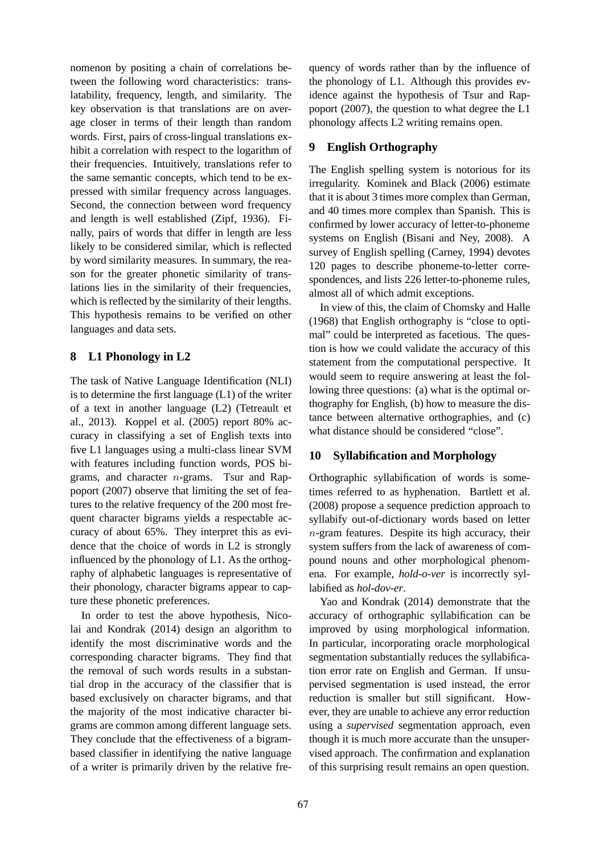nomenon by positing a chain of correlations between the following word characteristics: translatability, frequency, length, and similarity. The key observation is that translations are on average closer in terms of their length than random words. First, pairs of cross-lingual translations exhibit a correlation with respect to the logarithm of their frequencies. Intuitively, translations refer to the same semantic concepts, which tend to be expressed with similar frequency across languages. Second, the connection between word frequency and length is well established (Zipf, 1936). Finally, pairs of words that differ in length are less likely to be considered similar, which is reflected by word similarity measures. In summary, the reason for the greater phonetic similarity of translations lies in the similarity of their frequencies, which is reflected by the similarity of their lengths. This hypothesis remains to be verified on other languages and data sets.

## **8 L1 Phonology in L2**

The task of Native Language Identification (NLI) is to determine the first language (L1) of the writer of a text in another language (L2) (Tetreault et al., 2013). Koppel et al. (2005) report 80% accuracy in classifying a set of English texts into five L1 languages using a multi-class linear SVM with features including function words, POS bigrams, and character  $n$ -grams. Tsur and Rappoport (2007) observe that limiting the set of features to the relative frequency of the 200 most frequent character bigrams yields a respectable accuracy of about 65%. They interpret this as evidence that the choice of words in L2 is strongly influenced by the phonology of L1. As the orthography of alphabetic languages is representative of their phonology, character bigrams appear to capture these phonetic preferences.

In order to test the above hypothesis, Nicolai and Kondrak (2014) design an algorithm to identify the most discriminative words and the corresponding character bigrams. They find that the removal of such words results in a substantial drop in the accuracy of the classifier that is based exclusively on character bigrams, and that the majority of the most indicative character bigrams are common among different language sets. They conclude that the effectiveness of a bigrambased classifier in identifying the native language of a writer is primarily driven by the relative frequency of words rather than by the influence of the phonology of L1. Although this provides evidence against the hypothesis of Tsur and Rappoport (2007), the question to what degree the L1 phonology affects L2 writing remains open.

### **9 English Orthography**

The English spelling system is notorious for its irregularity. Kominek and Black (2006) estimate that it is about 3 times more complex than German, and 40 times more complex than Spanish. This is confirmed by lower accuracy of letter-to-phoneme systems on English (Bisani and Ney, 2008). A survey of English spelling (Carney, 1994) devotes 120 pages to describe phoneme-to-letter correspondences, and lists 226 letter-to-phoneme rules, almost all of which admit exceptions.

In view of this, the claim of Chomsky and Halle (1968) that English orthography is "close to optimal" could be interpreted as facetious. The question is how we could validate the accuracy of this statement from the computational perspective. It would seem to require answering at least the following three questions: (a) what is the optimal orthography for English, (b) how to measure the distance between alternative orthographies, and (c) what distance should be considered "close".

## **10 Syllabification and Morphology**

Orthographic syllabification of words is sometimes referred to as hyphenation. Bartlett et al. (2008) propose a sequence prediction approach to syllabify out-of-dictionary words based on letter  $n$ -gram features. Despite its high accuracy, their system suffers from the lack of awareness of compound nouns and other morphological phenomena. For example, *hold-o-ver* is incorrectly syllabified as *hol-dov-er*.

Yao and Kondrak (2014) demonstrate that the accuracy of orthographic syllabification can be improved by using morphological information. In particular, incorporating oracle morphological segmentation substantially reduces the syllabification error rate on English and German. If unsupervised segmentation is used instead, the error reduction is smaller but still significant. However, they are unable to achieve any error reduction using a *supervised* segmentation approach, even though it is much more accurate than the unsupervised approach. The confirmation and explanation of this surprising result remains an open question.